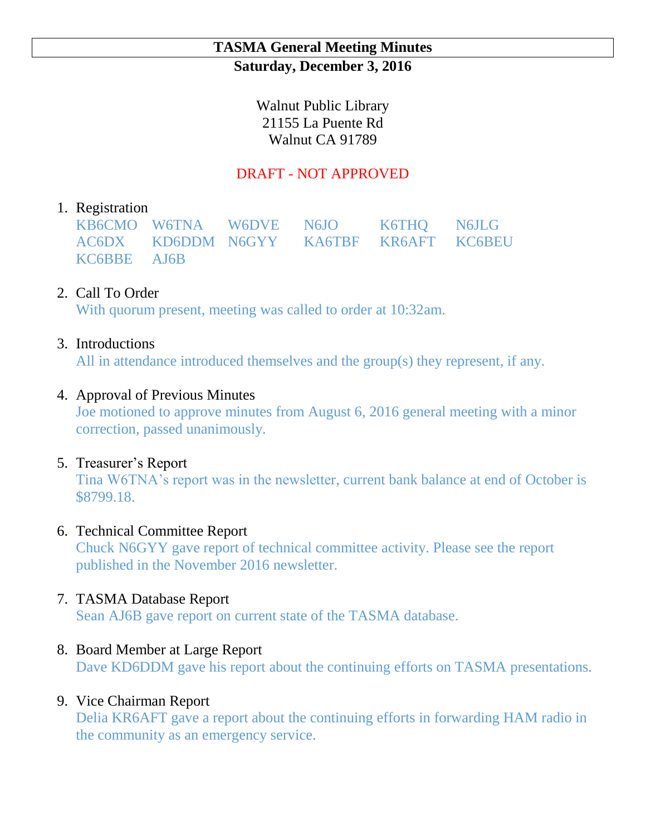## **TASMA General Meeting Minutes Saturday, December 3, 2016**

Walnut Public Library 21155 La Puente Rd Walnut CA 91789

## DRAFT - NOT APPROVED

# 1. Registration

KB6CMO W6TNA W6DVE N6JO K6THQ N6JLG AC6DX KD6DDM N6GYY KA6TBF KR6AFT KC6BEU KC6BBE AJ6B

# 2. Call To Order

With quorum present, meeting was called to order at 10:32am.

## 3. Introductions

All in attendance introduced themselves and the group(s) they represent, if any.

## 4. Approval of Previous Minutes

Joe motioned to approve minutes from August 6, 2016 general meeting with a minor correction, passed unanimously.

### 5. Treasurer's Report

Tina W6TNA's report was in the newsletter, current bank balance at end of October is \$8799.18.

### 6. Technical Committee Report

Chuck N6GYY gave report of technical committee activity. Please see the report published in the November 2016 newsletter.

### 7. TASMA Database Report

Sean AJ6B gave report on current state of the TASMA database.

## 8. Board Member at Large Report

Dave KD6DDM gave his report about the continuing efforts on TASMA presentations.

## 9. Vice Chairman Report

Delia KR6AFT gave a report about the continuing efforts in forwarding HAM radio in the community as an emergency service.